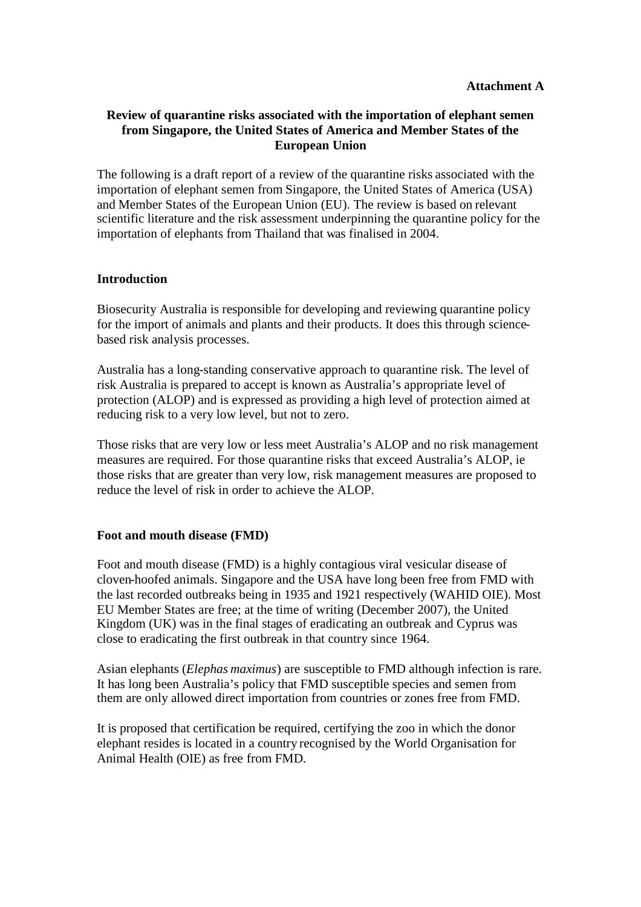# **Review of quarantine risks associated with the importation of elephant semen from Singapore, the United States of America and Member States of the European Union**

The following is a draft report of a review of the quarantine risks associated with the importation of elephant semen from Singapore, the United States of America (USA) and Member States of the European Union (EU). The review is based on relevant scientific literature and the risk assessment underpinning the quarantine policy for the importation of elephants from Thailand that was finalised in 2004.

## **Introduction**

Biosecurity Australia is responsible for developing and reviewing quarantine policy for the import of animals and plants and their products. It does this through sciencebased risk analysis processes.

Australia has a long-standing conservative approach to quarantine risk. The level of risk Australia is prepared to accept is known as Australia's appropriate level of protection (ALOP) and is expressed as providing a high level of protection aimed at reducing risk to a very low level, but not to zero.

Those risks that are very low or less meet Australia's ALOP and no risk management measures are required. For those quarantine risks that exceed Australia's ALOP, ie those risks that are greater than very low, risk management measures are proposed to reduce the level of risk in order to achieve the ALOP.

# **Foot and mouth disease (FMD)**

Foot and mouth disease (FMD) is a highly contagious viral vesicular disease of cloven-hoofed animals. Singapore and the USA have long been free from FMD with the last recorded outbreaks being in 1935 and 1921 respectively (WAHID OIE). Most EU Member States are free; at the time of writing (December 2007), the United Kingdom (UK) was in the final stages of eradicating an outbreak and Cyprus was close to eradicating the first outbreak in that country since 1964.

Asian elephants (*Elephas maximus*) are susceptible to FMD although infection is rare. It has long been Australia's policy that FMD susceptible species and semen from them are only allowed direct importation from countries or zones free from FMD.

It is proposed that certification be required, certifying the zoo in which the donor elephant resides is located in a country recognised by the World Organisation for Animal Health (OIE) as free from FMD.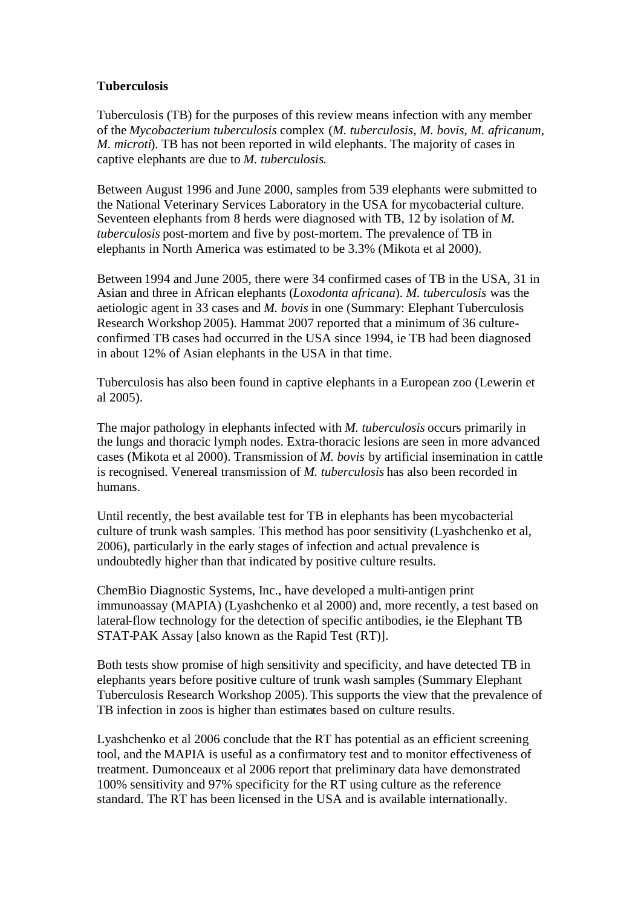### **Tuberculosis**

Tuberculosis (TB) for the purposes of this review means infection with any member of the *Mycobacterium tuberculosis* complex (*M. tuberculosis, M. bovis, M. africanum, M. microti*). TB has not been reported in wild elephants. The majority of cases in captive elephants are due to *M. tuberculosis*.

Between August 1996 and June 2000, samples from 539 elephants were submitted to the National Veterinary Services Laboratory in the USA for mycobacterial culture. Seventeen elephants from 8 herds were diagnosed with TB, 12 by isolation of *M. tuberculosis* post-mortem and five by post-mortem. The prevalence of TB in elephants in North America was estimated to be 3.3% (Mikota et al 2000).

Between 1994 and June 2005, there were 34 confirmed cases of TB in the USA, 31 in Asian and three in African elephants (*Loxodonta africana*). *M. tuberculosis* was the aetiologic agent in 33 cases and *M. bovis* in one (Summary: Elephant Tuberculosis Research Workshop 2005). Hammat 2007 reported that a minimum of 36 cultureconfirmed TB cases had occurred in the USA since 1994, ie TB had been diagnosed in about 12% of Asian elephants in the USA in that time.

Tuberculosis has also been found in captive elephants in a European zoo (Lewerin et al 2005).

The major pathology in elephants infected with *M. tuberculosis* occurs primarily in the lungs and thoracic lymph nodes. Extra-thoracic lesions are seen in more advanced cases (Mikota et al 2000). Transmission of *M. bovis* by artificial insemination in cattle is recognised. Venereal transmission of *M. tuberculosis* has also been recorded in humans.

Until recently, the best available test for TB in elephants has been mycobacterial culture of trunk wash samples. This method has poor sensitivity (Lyashchenko et al, 2006), particularly in the early stages of infection and actual prevalence is undoubtedly higher than that indicated by positive culture results.

ChemBio Diagnostic Systems, Inc., have developed a multi-antigen print immunoassay (MAPIA) (Lyashchenko et al 2000) and, more recently, a test based on lateral-flow technology for the detection of specific antibodies, ie the Elephant TB STAT-PAK Assay [also known as the Rapid Test (RT)].

Both tests show promise of high sensitivity and specificity, and have detected TB in elephants years before positive culture of trunk wash samples (Summary Elephant Tuberculosis Research Workshop 2005). This supports the view that the prevalence of TB infection in zoos is higher than estimates based on culture results.

Lyashchenko et al 2006 conclude that the RT has potential as an efficient screening tool, and the MAPIA is useful as a confirmatory test and to monitor effectiveness of treatment. Dumonceaux et al 2006 report that preliminary data have demonstrated 100% sensitivity and 97% specificity for the RT using culture as the reference standard. The RT has been licensed in the USA and is available internationally.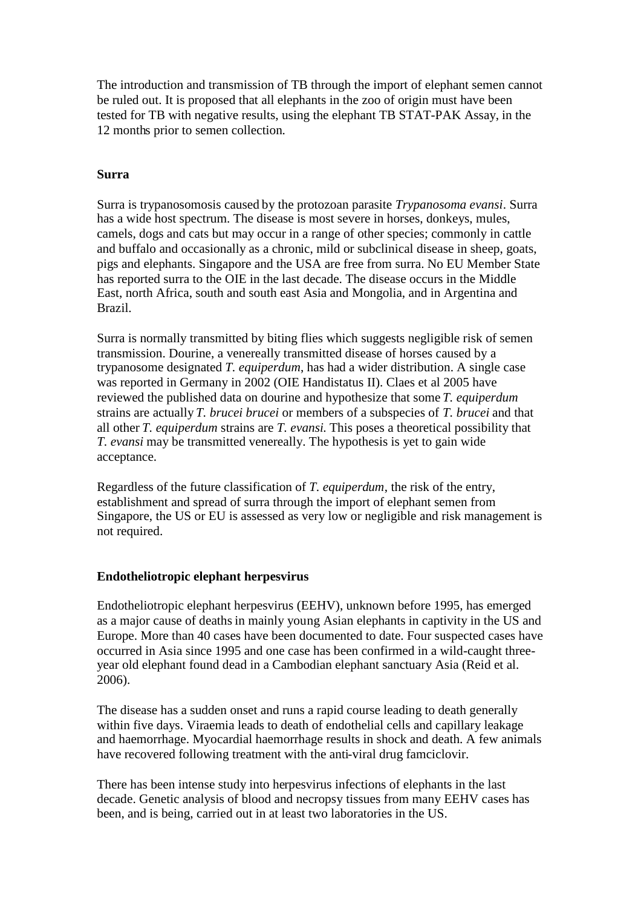The introduction and transmission of TB through the import of elephant semen cannot be ruled out. It is proposed that all elephants in the zoo of origin must have been tested for TB with negative results, using the elephant TB STAT-PAK Assay, in the 12 months prior to semen collection.

### **Surra**

Surra is trypanosomosis caused by the protozoan parasite *Trypanosoma evansi*. Surra has a wide host spectrum. The disease is most severe in horses, donkeys, mules, camels, dogs and cats but may occur in a range of other species; commonly in cattle and buffalo and occasionally as a chronic, mild or subclinical disease in sheep, goats, pigs and elephants. Singapore and the USA are free from surra. No EU Member State has reported surra to the OIE in the last decade. The disease occurs in the Middle East, north Africa, south and south east Asia and Mongolia, and in Argentina and Brazil.

Surra is normally transmitted by biting flies which suggests negligible risk of semen transmission. Dourine, a venereally transmitted disease of horses caused by a trypanosome designated *T. equiperdum*, has had a wider distribution. A single case was reported in Germany in 2002 (OIE Handistatus II). Claes et al 2005 have reviewed the published data on dourine and hypothesize that some *T. equiperdum* strains are actually *T. brucei brucei* or members of a subspecies of *T. brucei* and that all other *T. equiperdum* strains are *T. evansi*. This poses a theoretical possibility that *T. evansi* may be transmitted venereally. The hypothesis is yet to gain wide acceptance.

Regardless of the future classification of *T. equiperdum*, the risk of the entry, establishment and spread of surra through the import of elephant semen from Singapore, the US or EU is assessed as very low or negligible and risk management is not required.

## **Endotheliotropic elephant herpesvirus**

Endotheliotropic elephant herpesvirus (EEHV), unknown before 1995, has emerged as a major cause of deaths in mainly young Asian elephants in captivity in the US and Europe. More than 40 cases have been documented to date. Four suspected cases have occurred in Asia since 1995 and one case has been confirmed in a wild-caught threeyear old elephant found dead in a Cambodian elephant sanctuary Asia (Reid et al. 2006).

The disease has a sudden onset and runs a rapid course leading to death generally within five days. Viraemia leads to death of endothelial cells and capillary leakage and haemorrhage. Myocardial haemorrhage results in shock and death. A few animals have recovered following treatment with the anti-viral drug famciclovir.

There has been intense study into herpesvirus infections of elephants in the last decade. Genetic analysis of blood and necropsy tissues from many EEHV cases has been, and is being, carried out in at least two laboratories in the US.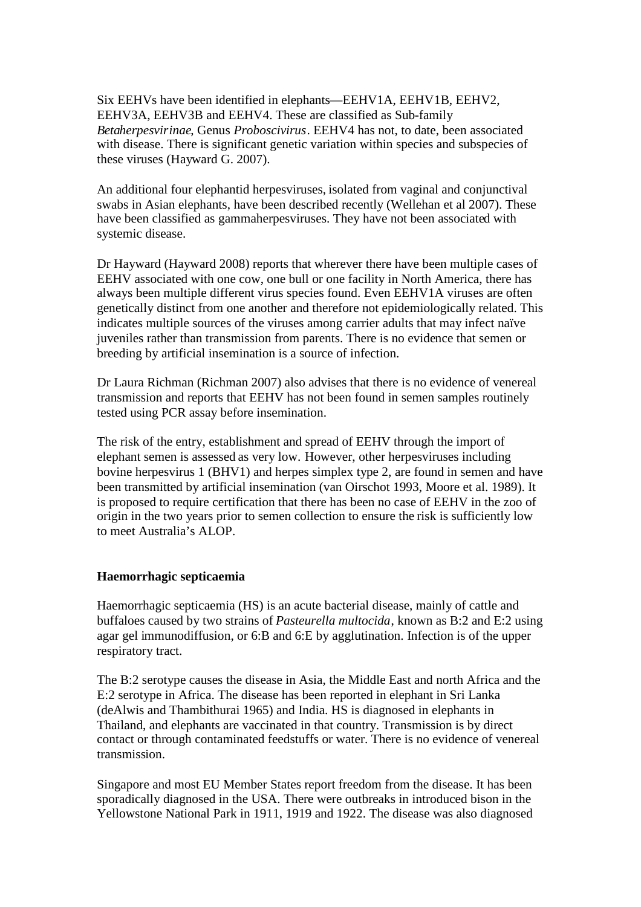Six EEHVs have been identified in elephants—EEHV1A, EEHV1B, EEHV2, EEHV3A, EEHV3B and EEHV4. These are classified as Sub-family *Betaherpesvirinae*, Genus *Proboscivirus*. EEHV4 has not, to date, been associated with disease. There is significant genetic variation within species and subspecies of these viruses (Hayward G. 2007).

An additional four elephantid herpesviruses, isolated from vaginal and conjunctival swabs in Asian elephants, have been described recently (Wellehan et al 2007). These have been classified as gammaherpesviruses. They have not been associated with systemic disease.

Dr Hayward (Hayward 2008) reports that wherever there have been multiple cases of EEHV associated with one cow, one bull or one facility in North America, there has always been multiple different virus species found. Even EEHV1A viruses are often genetically distinct from one another and therefore not epidemiologically related. This indicates multiple sources of the viruses among carrier adults that may infect naïve juveniles rather than transmission from parents. There is no evidence that semen or breeding by artificial insemination is a source of infection.

Dr Laura Richman (Richman 2007) also advises that there is no evidence of venereal transmission and reports that EEHV has not been found in semen samples routinely tested using PCR assay before insemination.

The risk of the entry, establishment and spread of EEHV through the import of elephant semen is assessed as very low. However, other herpesviruses including bovine herpesvirus 1 (BHV1) and herpes simplex type 2, are found in semen and have been transmitted by artificial insemination (van Oirschot 1993, Moore et al. 1989). It is proposed to require certification that there has been no case of EEHV in the zoo of origin in the two years prior to semen collection to ensure the risk is sufficiently low to meet Australia's ALOP.

### **Haemorrhagic septicaemia**

Haemorrhagic septicaemia (HS) is an acute bacterial disease, mainly of cattle and buffaloes caused by two strains of *Pasteurella multocida*, known as B:2 and E:2 using agar gel immunodiffusion, or 6:B and 6:E by agglutination. Infection is of the upper respiratory tract.

The B:2 serotype causes the disease in Asia, the Middle East and north Africa and the E:2 serotype in Africa. The disease has been reported in elephant in Sri Lanka (deAlwis and Thambithurai 1965) and India. HS is diagnosed in elephants in Thailand, and elephants are vaccinated in that country. Transmission is by direct contact or through contaminated feedstuffs or water. There is no evidence of venereal transmission.

Singapore and most EU Member States report freedom from the disease. It has been sporadically diagnosed in the USA. There were outbreaks in introduced bison in the Yellowstone National Park in 1911, 1919 and 1922. The disease was also diagnosed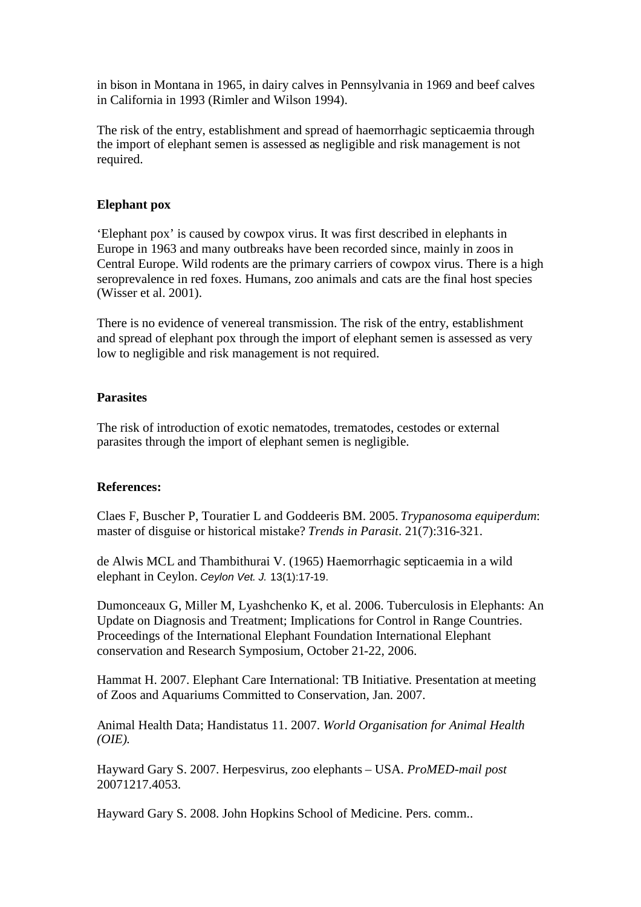in bison in Montana in 1965, in dairy calves in Pennsylvania in 1969 and beef calves in California in 1993 (Rimler and Wilson 1994).

The risk of the entry, establishment and spread of haemorrhagic septicaemia through the import of elephant semen is assessed as negligible and risk management is not required.

### **Elephant pox**

'Elephant pox' is caused by cowpox virus. It was first described in elephants in Europe in 1963 and many outbreaks have been recorded since, mainly in zoos in Central Europe. Wild rodents are the primary carriers of cowpox virus. There is a high seroprevalence in red foxes. Humans, zoo animals and cats are the final host species (Wisser et al. 2001).

There is no evidence of venereal transmission. The risk of the entry, establishment and spread of elephant pox through the import of elephant semen is assessed as very low to negligible and risk management is not required.

### **Parasites**

The risk of introduction of exotic nematodes, trematodes, cestodes or external parasites through the import of elephant semen is negligible.

#### **References:**

Claes F, Buscher P, Touratier L and Goddeeris BM. 2005. *Trypanosoma equiperdum*: master of disguise or historical mistake? *Trends in Parasit*. 21(7):316-321.

de Alwis MCL and Thambithurai V. (1965) Haemorrhagic septicaemia in a wild elephant in Ceylon. *Ceylon Vet. J.* 13(1):17-19.

Dumonceaux G, Miller M, Lyashchenko K, et al. 2006. Tuberculosis in Elephants: An Update on Diagnosis and Treatment; Implications for Control in Range Countries. Proceedings of the International Elephant Foundation International Elephant conservation and Research Symposium, October 21-22, 2006.

Hammat H. 2007. Elephant Care International: TB Initiative. Presentation at meeting of Zoos and Aquariums Committed to Conservation, Jan. 2007.

Animal Health Data; Handistatus 11. 2007. *World Organisation for Animal Health (OIE).*

Hayward Gary S. 2007. Herpesvirus, zoo elephants – USA. *ProMED-mail post* 20071217.4053.

Hayward Gary S. 2008. John Hopkins School of Medicine. Pers. comm..